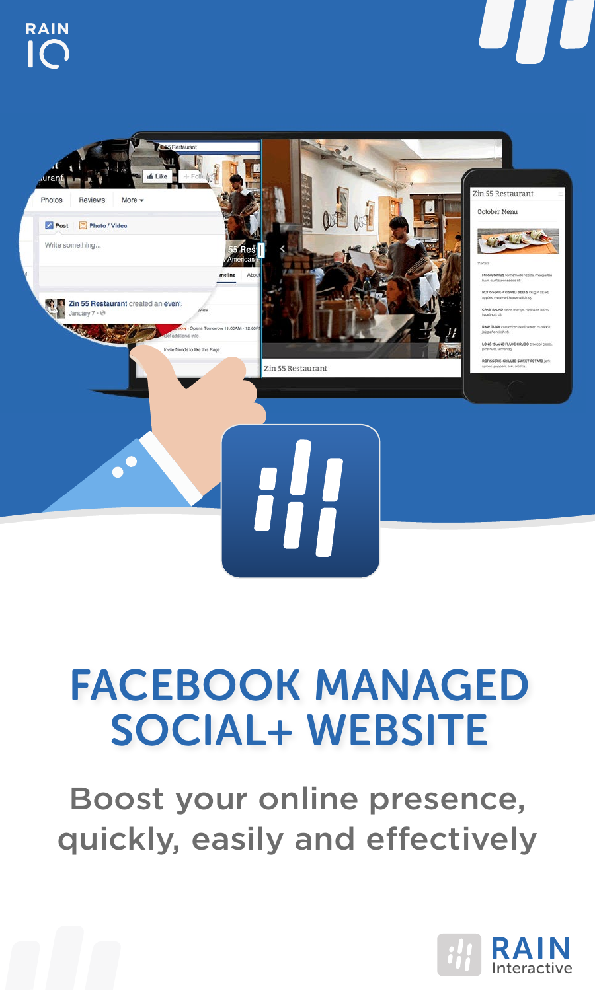



# FACEBOOK MANAGED SOCIAL+ WEBSITE

Boost your online presence, quickly, easily and effectively

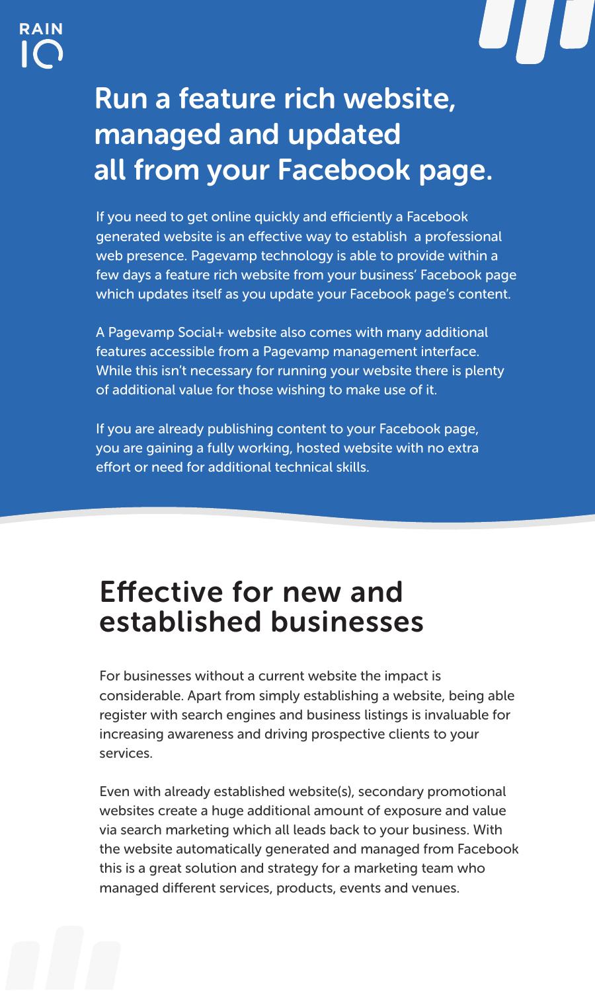

## Run a feature rich website, managed and updated all from your Facebook page.

If you need to get online quickly and efficiently a Facebook generated website is an effective way to establish a professional web presence. Pagevamp technology is able to provide within a few days a feature rich website from your business' Facebook page which updates itself as you update your Facebook page's content.

A Pagevamp Social+ website also comes with many additional features accessible from a Pagevamp management interface. While this isn't necessary for running your website there is plenty of additional value for those wishing to make use of it.

If you are already publishing content to your Facebook page, you are gaining a fully working, hosted website with no extra effort or need for additional technical skills.

## **Effective for new and** established businesses

For businesses without a current website the impact is considerable. Apart from simply establishing a website, being able register with search engines and business listings is invaluable for increasing awareness and driving prospective clients to your services.

Even with already established website(s), secondary promotional websites create a huge additional amount of exposure and value via search marketing which all leads back to your business. With the website automatically generated and managed from Facebook this is a great solution and strategy for a marketing team who managed different services, products, events and venues.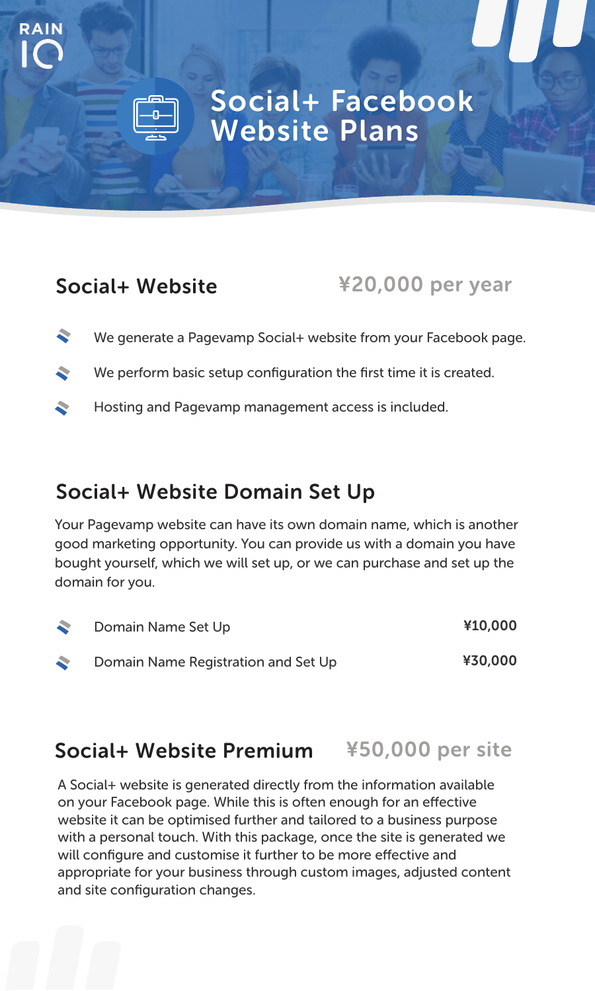## Social+ Facebook Website Plans

## Social+ Website

**RAIN**

### ¥20,000 per year

- ÷ We generate a Pagevamp Social+ website from your Facebook page.
- ÷. We perform basic setup configuration the first time it is created.
- ÷. Hosting and Pagevamp management access is included.

## Social+ Website Domain Set Up

Your Pagevamp website can have its own domain name, which is another good marketing opportunity. You can provide us with a domain you have bought yourself, which we will set up, or we can purchase and set up the domain for you.

| ÷ | Domain Name Set Up                  | ¥10,000 |
|---|-------------------------------------|---------|
| ÷ | Domain Name Registration and Set Up | ¥30,000 |

#### Social+ Website Premium ¥50,000 per site

A Social+ website is generated directly from the information available on your Facebook page. While this is often enough for an effective website it can be optimised further and tailored to a business purpose with a personal touch. With this package, once the site is generated we will configure and customise it further to be more effective and appropriate for your business through custom images, adjusted content and site configuration changes.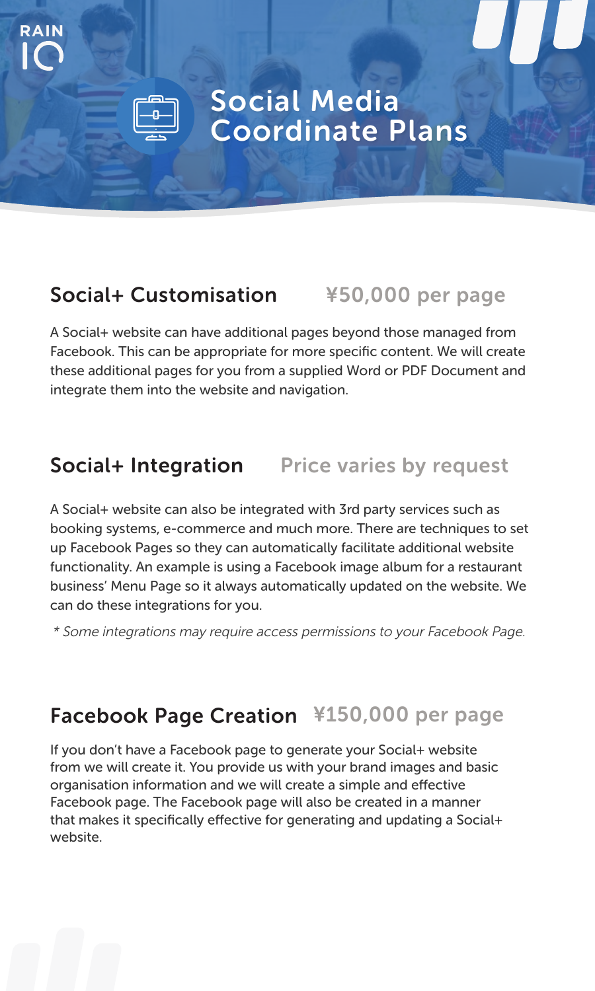## Social Media Coordinate Plans

## Social+ Customisation ¥50,000 per page

**RAIN**

A Social+ website can have additional pages beyond those managed from Facebook. This can be appropriate for more specific content. We will create these additional pages for you from a supplied Word or PDF Document and integrate them into the website and navigation.

## Social+ Integration Price varies by request

A Social+ website can also be integrated with 3rd party services such as booking systems, e-commerce and much more. There are techniques to set up Facebook Pages so they can automatically facilitate additional website functionality. An example is using a Facebook image album for a restaurant business' Menu Page so it always automatically updated on the website. We can do these integrations for you.

\* Some integrations may require access permissions to your Facebook Page.

## Facebook Page Creation ¥150,000 per page

If you don't have a Facebook page to generate your Social+ website from we will create it. You provide us with your brand images and basic organisation information and we will create a simple and effective Facebook page. The Facebook page will also be created in a manner that makes it specifically effective for generating and updating a Social+ website.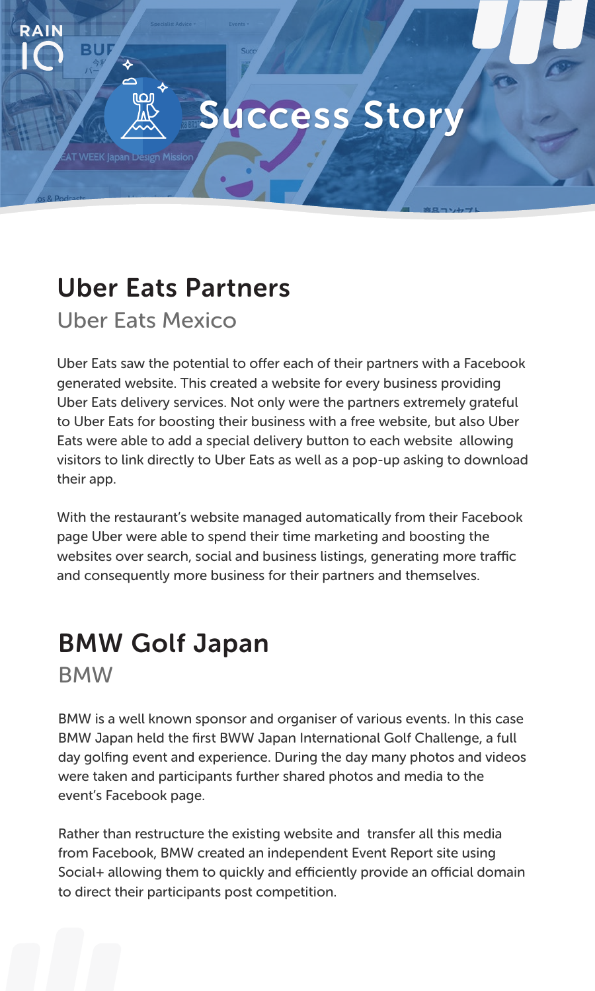## Success Story

## Uber Eats Partners

Uber Eats Mexico

ò

ורום

**RAIN**

Uber Eats saw the potential to offer each of their partners with a Facebook generated website. This created a website for every business providing Uber Eats delivery services. Not only were the partners extremely grateful to Uber Eats for boosting their business with a free website, but also Uber Eats were able to add a special delivery button to each website allowing visitors to link directly to Uber Eats as well as a pop-up asking to download their app.

With the restaurant's website managed automatically from their Facebook page Uber were able to spend their time marketing and boosting the websites over search, social and business listings, generating more traffic and consequently more business for their partners and themselves.

## BMW Golf Japan

**BMW** 

BMW is a well known sponsor and organiser of various events. In this case BMW Japan held the first BWW Japan International Golf Challenge, a full day golfing event and experience. During the day many photos and videos were taken and participants further shared photos and media to the event's Facebook page.

Rather than restructure the existing website and transfer all this media from Facebook, BMW created an independent Event Report site using Social+ allowing them to quickly and efficiently provide an official domain to direct their participants post competition.